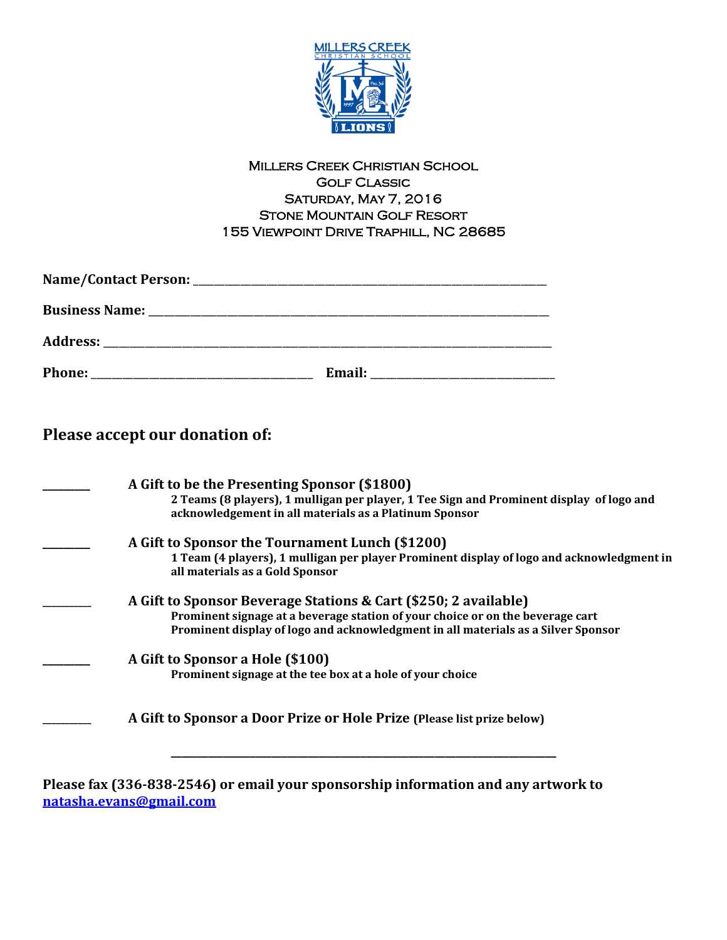

#### Millers Creek Christian School Golf Classic Saturday, May 7, 2016 Stone Mountain Golf Resort 155 Viewpoint Drive Traphill, NC 28685

| <b>Phone:</b> | Email: |  |
|---------------|--------|--|

**Please accept our donation of:**

| A Gift to be the Presenting Sponsor (\$1800)<br>2 Teams (8 players), 1 mulligan per player, 1 Tee Sign and Prominent display of logo and<br>acknowledgement in all materials as a Platinum Sponsor                                     |
|----------------------------------------------------------------------------------------------------------------------------------------------------------------------------------------------------------------------------------------|
| A Gift to Sponsor the Tournament Lunch (\$1200)<br>1 Team (4 players), 1 mulligan per player Prominent display of logo and acknowledgment in<br>all materials as a Gold Sponsor                                                        |
| A Gift to Sponsor Beverage Stations & Cart (\$250; 2 available)<br>Prominent signage at a beverage station of your choice or on the beverage cart<br>Prominent display of logo and acknowledgment in all materials as a Silver Sponsor |
| A Gift to Sponsor a Hole (\$100)<br>Prominent signage at the tee box at a hole of your choice                                                                                                                                          |
| A Gift to Sponsor a Door Prize or Hole Prize (Please list prize below)                                                                                                                                                                 |
| Please fax (336-838-2546) or email your sponsorship information and any artwork to                                                                                                                                                     |

**[natasha.evans@gmail.com](mailto:natasha.evans@gmail.com)**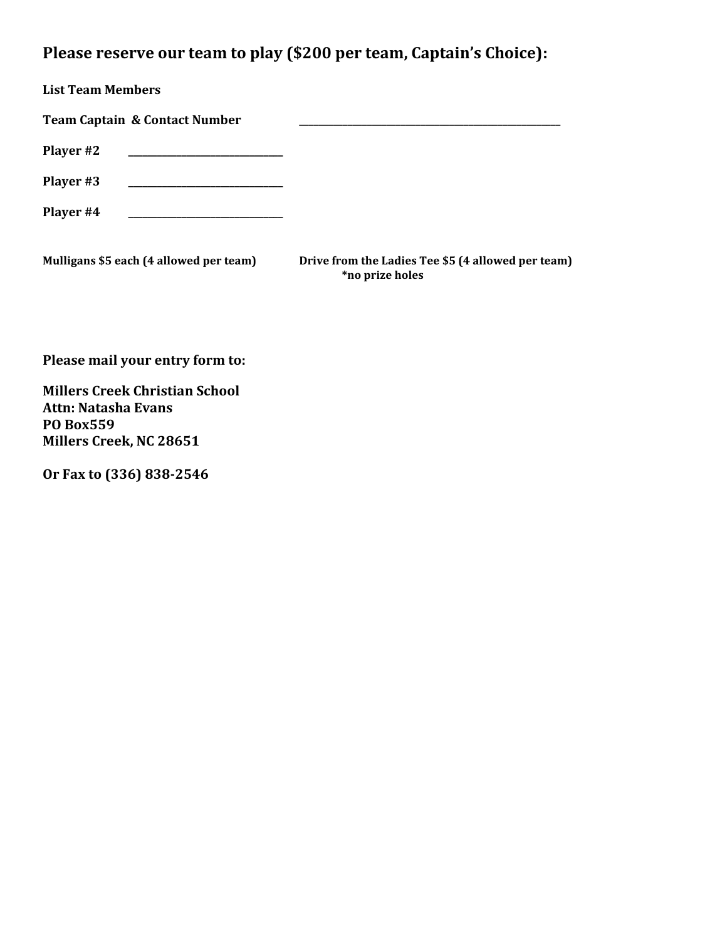# **Please reserve our team to play (\$200 per team, Captain's Choice):**

| <b>List Team Members</b>                 |                                                                       |
|------------------------------------------|-----------------------------------------------------------------------|
| <b>Team Captain &amp; Contact Number</b> |                                                                       |
| Player #2                                |                                                                       |
| Player #3                                |                                                                       |
| Player #4                                |                                                                       |
| Mulligans \$5 each (4 allowed per team)  | Drive from the Ladies Tee \$5 (4 allowed per team)<br>*no prize holes |

**Please mail your entry form to:**

**Millers Creek Christian School Attn: Natasha Evans PO Box559 Millers Creek, NC 28651**

**Or Fax to (336) 838-2546**